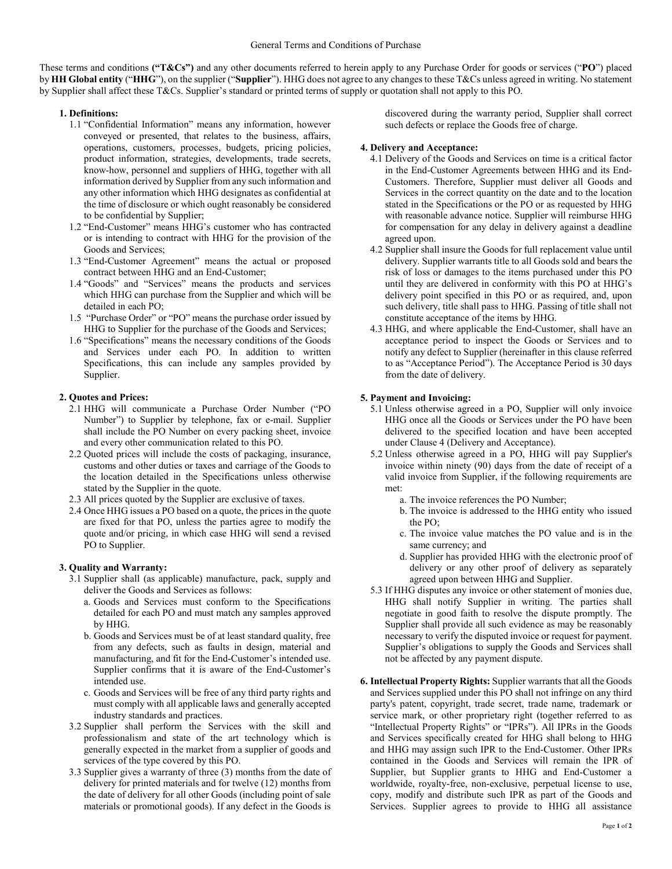These terms and conditions **("T&Cs")** and any other documents referred to herein apply to any Purchase Order for goods or services ("**PO**") placed by **HH Global entity** ("**HHG**"), on the supplier ("**Supplier**"). HHG does not agree to any changes to these T&Cs unless agreed in writing. No statement by Supplier shall affect these T&Cs. Supplier's standard or printed terms of supply or quotation shall not apply to this PO.

### **1. Definitions:**

- 1.1 "Confidential Information" means any information, however conveyed or presented, that relates to the business, affairs, operations, customers, processes, budgets, pricing policies, product information, strategies, developments, trade secrets, know-how, personnel and suppliers of HHG, together with all information derived by Supplier from any such information and any other information which HHG designates as confidential at the time of disclosure or which ought reasonably be considered to be confidential by Supplier;
- 1.2 "End-Customer" means HHG's customer who has contracted or is intending to contract with HHG for the provision of the Goods and Services;
- 1.3 "End-Customer Agreement" means the actual or proposed contract between HHG and an End-Customer;
- 1.4 "Goods" and "Services" means the products and services which HHG can purchase from the Supplier and which will be detailed in each PO;
- 1.5 "Purchase Order" or "PO" means the purchase order issued by HHG to Supplier for the purchase of the Goods and Services;
- 1.6 "Specifications" means the necessary conditions of the Goods and Services under each PO. In addition to written Specifications, this can include any samples provided by Supplier.

## **2. Quotes and Prices:**

- 2.1 HHG will communicate a Purchase Order Number ("PO Number") to Supplier by telephone, fax or e-mail. Supplier shall include the PO Number on every packing sheet, invoice and every other communication related to this PO.
- 2.2 Quoted prices will include the costs of packaging, insurance, customs and other duties or taxes and carriage of the Goods to the location detailed in the Specifications unless otherwise stated by the Supplier in the quote.
- 2.3 All prices quoted by the Supplier are exclusive of taxes.
- 2.4 Once HHG issues a PO based on a quote, the prices in the quote are fixed for that PO, unless the parties agree to modify the quote and/or pricing, in which case HHG will send a revised PO to Supplier.

### **3. Quality and Warranty:**

- 3.1 Supplier shall (as applicable) manufacture, pack, supply and deliver the Goods and Services as follows:
	- a. Goods and Services must conform to the Specifications detailed for each PO and must match any samples approved by HHG.
	- b. Goods and Services must be of at least standard quality, free from any defects, such as faults in design, material and manufacturing, and fit for the End-Customer's intended use. Supplier confirms that it is aware of the End-Customer's intended use.
	- c. Goods and Services will be free of any third party rights and must comply with all applicable laws and generally accepted industry standards and practices.
- 3.2 Supplier shall perform the Services with the skill and professionalism and state of the art technology which is generally expected in the market from a supplier of goods and services of the type covered by this PO.
- 3.3 Supplier gives a warranty of three (3) months from the date of delivery for printed materials and for twelve (12) months from the date of delivery for all other Goods (including point of sale materials or promotional goods). If any defect in the Goods is

discovered during the warranty period, Supplier shall correct such defects or replace the Goods free of charge.

## **4. Delivery and Acceptance:**

- 4.1 Delivery of the Goods and Services on time is a critical factor in the End-Customer Agreements between HHG and its End-Customers. Therefore, Supplier must deliver all Goods and Services in the correct quantity on the date and to the location stated in the Specifications or the PO or as requested by HHG with reasonable advance notice. Supplier will reimburse HHG for compensation for any delay in delivery against a deadline agreed upon.
- 4.2 Supplier shall insure the Goods for full replacement value until delivery. Supplier warrants title to all Goods sold and bears the risk of loss or damages to the items purchased under this PO until they are delivered in conformity with this PO at HHG's delivery point specified in this PO or as required, and, upon such delivery, title shall pass to HHG. Passing of title shall not constitute acceptance of the items by HHG.
- 4.3 HHG, and where applicable the End-Customer, shall have an acceptance period to inspect the Goods or Services and to notify any defect to Supplier (hereinafter in this clause referred to as "Acceptance Period"). The Acceptance Period is 30 days from the date of delivery.

## **5. Payment and Invoicing:**

- 5.1 Unless otherwise agreed in a PO, Supplier will only invoice HHG once all the Goods or Services under the PO have been delivered to the specified location and have been accepted under Clause 4 (Delivery and Acceptance).
- 5.2 Unless otherwise agreed in a PO, HHG will pay Supplier's invoice within ninety (90) days from the date of receipt of a valid invoice from Supplier, if the following requirements are met:
	- a. The invoice references the PO Number;
	- b. The invoice is addressed to the HHG entity who issued the PO;
	- c. The invoice value matches the PO value and is in the same currency; and
	- d. Supplier has provided HHG with the electronic proof of delivery or any other proof of delivery as separately agreed upon between HHG and Supplier.
- 5.3 If HHG disputes any invoice or other statement of monies due, HHG shall notify Supplier in writing. The parties shall negotiate in good faith to resolve the dispute promptly. The Supplier shall provide all such evidence as may be reasonably necessary to verify the disputed invoice or request for payment. Supplier's obligations to supply the Goods and Services shall not be affected by any payment dispute.
- **6. Intellectual Property Rights:** Supplier warrants that all the Goods and Services supplied under this PO shall not infringe on any third party's patent, copyright, trade secret, trade name, trademark or service mark, or other proprietary right (together referred to as "Intellectual Property Rights" or "IPRs"). All IPRs in the Goods and Services specifically created for HHG shall belong to HHG and HHG may assign such IPR to the End-Customer. Other IPRs contained in the Goods and Services will remain the IPR of Supplier, but Supplier grants to HHG and End-Customer a worldwide, royalty-free, non-exclusive, perpetual license to use, copy, modify and distribute such IPR as part of the Goods and Services. Supplier agrees to provide to HHG all assistance